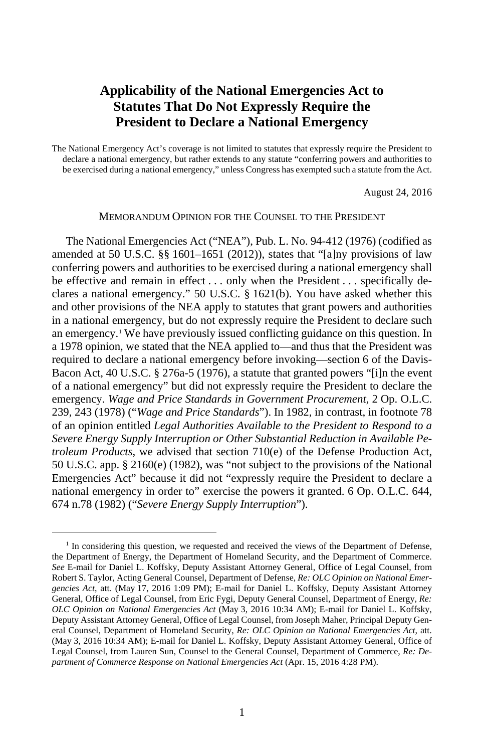# **Applicability of the National Emergencies Act to Statutes That Do Not Expressly Require the President to Declare a National Emergency**

The National Emergency Act's coverage is not limited to statutes that expressly require the President to declare a national emergency, but rather extends to any statute "conferring powers and authorities to be exercised during a national emergency," unless Congress has exempted such a statute from the Act.

August 24, 2016

# MEMORANDUM OPINION FOR THE COUNSEL TO THE PRESIDENT

<span id="page-0-1"></span>The National Emergencies Act ("NEA"), Pub. L. No. 94-412 (1976) (codified as amended at 50 U.S.C.  $\S$  1601–1651 (2012)), states that "[a]ny provisions of law conferring powers and authorities to be exercised during a national emergency shall be effective and remain in effect . . . only when the President . . . specifically declares a national emergency." 50 U.S.C. § 1621(b). You have asked whether this and other provisions of the NEA apply to statutes that grant powers and authorities in a national emergency, but do not expressly require the President to declare such an emergency.<sup>[1](#page-0-0)</sup> We have previously issued conflicting guidance on this question. In a 1978 opinion, we stated that the NEA applied to—and thus that the President was required to declare a national emergency before invoking—section 6 of the Davis-Bacon Act, 40 U.S.C. § 276a-5 (1976), a statute that granted powers "[i]n the event of a national emergency" but did not expressly require the President to declare the emergency. *Wage and Price Standards in Government Procurement*, 2 Op. O.L.C. 239, 243 (1978) ("*Wage and Price Standards*"). In 1982, in contrast, in footnote 78 of an opinion entitled *Legal Authorities Available to the President to Respond to a Severe Energy Supply Interruption or Other Substantial Reduction in Available Petroleum Products*, we advised that section 710(e) of the Defense Production Act, 50 U.S.C. app. § 2160(e) (1982), was "not subject to the provisions of the National Emergencies Act" because it did not "expressly require the President to declare a national emergency in order to" exercise the powers it granted. 6 Op. O.L.C. 644, 674 n.78 (1982) ("*Severe Energy Supply Interruption*").

<span id="page-0-0"></span><sup>&</sup>lt;sup>1</sup> In considering this question, we requested and received the views of the Department of Defense, the Department of Energy, the Department of Homeland Security, and the Department of Commerce. *See* E-mail for Daniel L. Koffsky, Deputy Assistant Attorney General, Office of Legal Counsel, from Robert S. Taylor, Acting General Counsel, Department of Defense, *Re: OLC Opinion on National Emergencies Act*, att. (May 17, 2016 1:09 PM); E-mail for Daniel L. Koffsky, Deputy Assistant Attorney General, Office of Legal Counsel, from Eric Fygi, Deputy General Counsel, Department of Energy, *Re: OLC Opinion on National Emergencies Act* (May 3, 2016 10:34 AM); E-mail for Daniel L. Koffsky, Deputy Assistant Attorney General, Office of Legal Counsel, from Joseph Maher, Principal Deputy General Counsel, Department of Homeland Security, *Re: OLC Opinion on National Emergencies Act*, att. (May 3, 2016 10:34 AM); E-mail for Daniel L. Koffsky, Deputy Assistant Attorney General, Office of Legal Counsel, from Lauren Sun, Counsel to the General Counsel, Department of Commerce, *Re: Department of Commerce Response on National Emergencies Act* (Apr. 15, 2016 4:28 PM).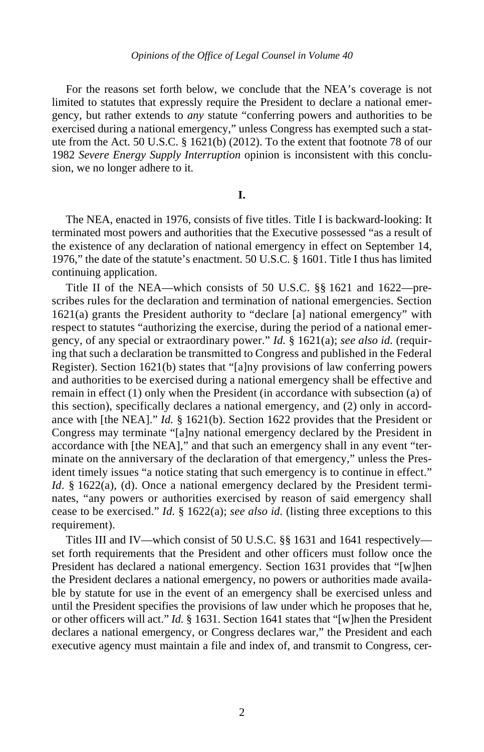For the reasons set forth below, we conclude that the NEA's coverage is not limited to statutes that expressly require the President to declare a national emergency, but rather extends to *any* statute "conferring powers and authorities to be exercised during a national emergency," unless Congress has exempted such a statute from the Act. 50 U.S.C. § 1621(b) (2012). To the extent that footnote 78 of our 1982 *Severe Energy Supply Interruption* opinion is inconsistent with this conclusion, we no longer adhere to it.

# **I.**

The NEA, enacted in 1976, consists of five titles. Title I is backward-looking: It terminated most powers and authorities that the Executive possessed "as a result of the existence of any declaration of national emergency in effect on September 14, 1976," the date of the statute's enactment. 50 U.S.C. § 1601. Title I thus has limited continuing application.

Title II of the NEA—which consists of 50 U.S.C. §§ 1621 and 1622—prescribes rules for the declaration and termination of national emergencies. Section 1621(a) grants the President authority to "declare [a] national emergency" with respect to statutes "authorizing the exercise, during the period of a national emergency, of any special or extraordinary power." *Id.* § 1621(a); *see also id.* (requiring that such a declaration be transmitted to Congress and published in the Federal Register). Section 1621(b) states that "[a]ny provisions of law conferring powers and authorities to be exercised during a national emergency shall be effective and remain in effect (1) only when the President (in accordance with subsection (a) of this section), specifically declares a national emergency, and (2) only in accordance with [the NEA]." *Id.* § 1621(b). Section 1622 provides that the President or Congress may terminate "[a]ny national emergency declared by the President in accordance with [the NEA]," and that such an emergency shall in any event "terminate on the anniversary of the declaration of that emergency," unless the President timely issues "a notice stating that such emergency is to continue in effect." *Id*. § 1622(a), (d). Once a national emergency declared by the President terminates, "any powers or authorities exercised by reason of said emergency shall cease to be exercised." *Id.* § 1622(a); *see also id.* (listing three exceptions to this requirement).

Titles III and IV—which consist of 50 U.S.C. §§ 1631 and 1641 respectively set forth requirements that the President and other officers must follow once the President has declared a national emergency. Section 1631 provides that "[w]hen the President declares a national emergency, no powers or authorities made available by statute for use in the event of an emergency shall be exercised unless and until the President specifies the provisions of law under which he proposes that he, or other officers will act." *Id.* § 1631. Section 1641 states that "[w]hen the President declares a national emergency, or Congress declares war," the President and each executive agency must maintain a file and index of, and transmit to Congress, cer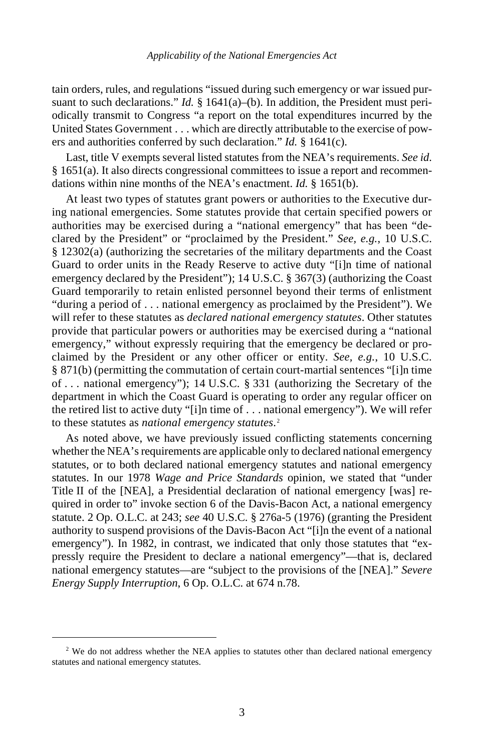tain orders, rules, and regulations "issued during such emergency or war issued pursuant to such declarations." *Id.* § 1641(a)–(b). In addition, the President must periodically transmit to Congress "a report on the total expenditures incurred by the United States Government . . . which are directly attributable to the exercise of powers and authorities conferred by such declaration." *Id.* § 1641(c).

Last, title V exempts several listed statutes from the NEA's requirements. *See id.* § 1651(a). It also directs congressional committees to issue a report and recommendations within nine months of the NEA's enactment. *Id.* § 1651(b).

At least two types of statutes grant powers or authorities to the Executive during national emergencies. Some statutes provide that certain specified powers or authorities may be exercised during a "national emergency" that has been "declared by the President" or "proclaimed by the President." *See, e.g.*, 10 U.S.C. § 12302(a) (authorizing the secretaries of the military departments and the Coast Guard to order units in the Ready Reserve to active duty "[i]n time of national emergency declared by the President"); 14 U.S.C. § 367(3) (authorizing the Coast Guard temporarily to retain enlisted personnel beyond their terms of enlistment "during a period of . . . national emergency as proclaimed by the President"). We will refer to these statutes as *declared national emergency statutes*. Other statutes provide that particular powers or authorities may be exercised during a "national emergency," without expressly requiring that the emergency be declared or proclaimed by the President or any other officer or entity. *See, e.g.*, 10 U.S.C. § 871(b) (permitting the commutation of certain court-martial sentences "[i]n time of . . . national emergency"); 14 U.S.C. § 331 (authorizing the Secretary of the department in which the Coast Guard is operating to order any regular officer on the retired list to active duty "[i]n time of . . . national emergency"). We will refer to these statutes as *national emergency statutes*. [2](#page-2-0)

As noted above, we have previously issued conflicting statements concerning whether the NEA's requirements are applicable only to declared national emergency statutes, or to both declared national emergency statutes and national emergency statutes. In our 1978 *Wage and Price Standards* opinion, we stated that "under Title II of the [NEA], a Presidential declaration of national emergency [was] required in order to" invoke section 6 of the Davis-Bacon Act, a national emergency statute. 2 Op. O.L.C. at 243; *see* 40 U.S.C. § 276a-5 (1976) (granting the President authority to suspend provisions of the Davis-Bacon Act "[i]n the event of a national emergency"). In 1982, in contrast, we indicated that only those statutes that "expressly require the President to declare a national emergency"—that is, declared national emergency statutes—are "subject to the provisions of the [NEA]." *Severe Energy Supply Interruption*, 6 Op. O.L.C. at 674 n.78.

<span id="page-2-0"></span><sup>&</sup>lt;sup>2</sup> We do not address whether the NEA applies to statutes other than declared national emergency statutes and national emergency statutes.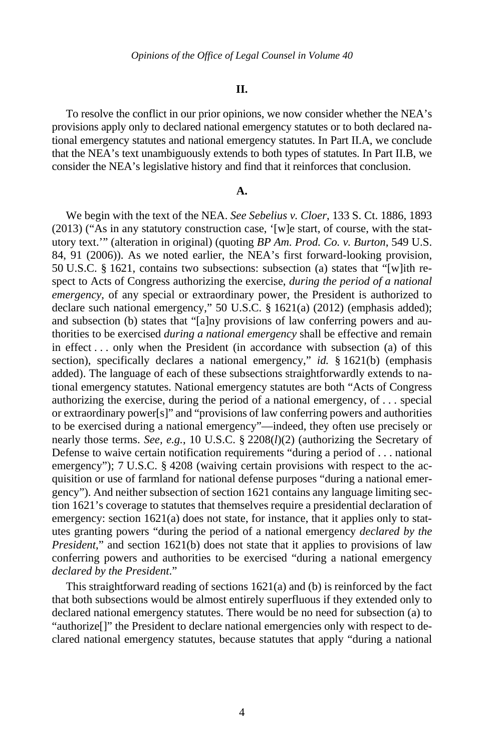#### **II.**

To resolve the conflict in our prior opinions, we now consider whether the NEA's provisions apply only to declared national emergency statutes or to both declared national emergency statutes and national emergency statutes. In Part II.A, we conclude that the NEA's text unambiguously extends to both types of statutes. In Part II.B, we consider the NEA's legislative history and find that it reinforces that conclusion.

#### **A.**

We begin with the text of the NEA. *See Sebelius v. Cloer*, 133 S. Ct. 1886, 1893 (2013) ("As in any statutory construction case, '[w]e start, of course, with the statutory text.'" (alteration in original) (quoting *BP Am. Prod. Co. v. Burton*, 549 U.S. 84, 91 (2006)). As we noted earlier, the NEA's first forward-looking provision, 50 U.S.C. § 1621, contains two subsections: subsection (a) states that "[w]ith respect to Acts of Congress authorizing the exercise, *during the period of a national emergency*, of any special or extraordinary power, the President is authorized to declare such national emergency," 50 U.S.C. § 1621(a) (2012) (emphasis added); and subsection (b) states that "[a]ny provisions of law conferring powers and authorities to be exercised *during a national emergency* shall be effective and remain in effect . . . only when the President (in accordance with subsection (a) of this section), specifically declares a national emergency," *id.* § 1621(b) (emphasis added). The language of each of these subsections straightforwardly extends to national emergency statutes. National emergency statutes are both "Acts of Congress authorizing the exercise, during the period of a national emergency, of . . . special or extraordinary power[s]" and "provisions of law conferring powers and authorities to be exercised during a national emergency"—indeed, they often use precisely or nearly those terms. *See, e.g.*, 10 U.S.C. § 2208(*l*)(2) (authorizing the Secretary of Defense to waive certain notification requirements "during a period of . . . national emergency"); 7 U.S.C. § 4208 (waiving certain provisions with respect to the acquisition or use of farmland for national defense purposes "during a national emergency"). And neither subsection of section 1621 contains any language limiting section 1621's coverage to statutes that themselves require a presidential declaration of emergency: section 1621(a) does not state, for instance, that it applies only to statutes granting powers "during the period of a national emergency *declared by the President*," and section 1621(b) does not state that it applies to provisions of law conferring powers and authorities to be exercised "during a national emergency *declared by the President*."

This straightforward reading of sections 1621(a) and (b) is reinforced by the fact that both subsections would be almost entirely superfluous if they extended only to declared national emergency statutes. There would be no need for subsection (a) to "authorize[]" the President to declare national emergencies only with respect to declared national emergency statutes, because statutes that apply "during a national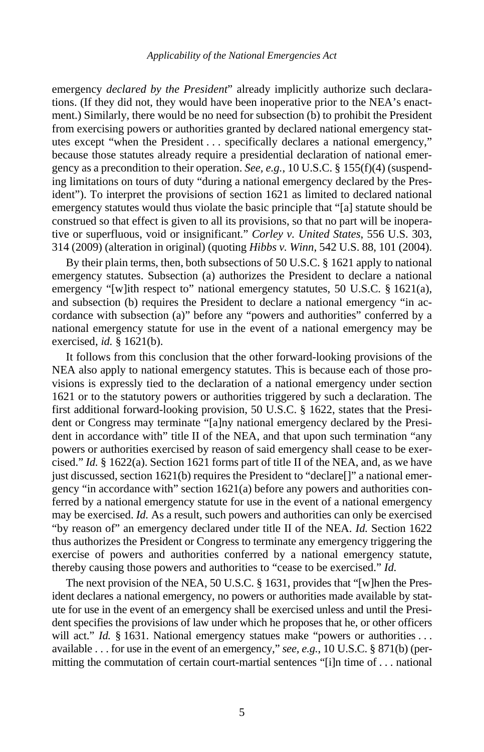#### *Applicability of the National Emergencies Act*

emergency *declared by the President*" already implicitly authorize such declarations. (If they did not, they would have been inoperative prior to the NEA's enactment.) Similarly, there would be no need for subsection (b) to prohibit the President from exercising powers or authorities granted by declared national emergency statutes except "when the President . . . specifically declares a national emergency," because those statutes already require a presidential declaration of national emergency as a precondition to their operation. *See, e.g.*, 10 U.S.C. § 155(f)(4) (suspending limitations on tours of duty "during a national emergency declared by the President"). To interpret the provisions of section 1621 as limited to declared national emergency statutes would thus violate the basic principle that "[a] statute should be construed so that effect is given to all its provisions, so that no part will be inoperative or superfluous, void or insignificant." *Corley v. United States*, 556 U.S. 303, 314 (2009) (alteration in original) (quoting *Hibbs v. Winn*, 542 U.S. 88, 101 (2004).

By their plain terms, then, both subsections of 50 U.S.C. § 1621 apply to national emergency statutes. Subsection (a) authorizes the President to declare a national emergency "[w]ith respect to" national emergency statutes, 50 U.S.C. § 1621(a), and subsection (b) requires the President to declare a national emergency "in accordance with subsection (a)" before any "powers and authorities" conferred by a national emergency statute for use in the event of a national emergency may be exercised, *id.* § 1621(b).

It follows from this conclusion that the other forward-looking provisions of the NEA also apply to national emergency statutes. This is because each of those provisions is expressly tied to the declaration of a national emergency under section 1621 or to the statutory powers or authorities triggered by such a declaration. The first additional forward-looking provision, 50 U.S.C. § 1622, states that the President or Congress may terminate "[a]ny national emergency declared by the President in accordance with" title II of the NEA, and that upon such termination "any powers or authorities exercised by reason of said emergency shall cease to be exercised." *Id.* § 1622(a). Section 1621 forms part of title II of the NEA, and, as we have just discussed, section 1621(b) requires the President to "declare[]" a national emergency "in accordance with" section 1621(a) before any powers and authorities conferred by a national emergency statute for use in the event of a national emergency may be exercised. *Id.* As a result, such powers and authorities can only be exercised "by reason of" an emergency declared under title II of the NEA. *Id.* Section 1622 thus authorizes the President or Congress to terminate any emergency triggering the exercise of powers and authorities conferred by a national emergency statute, thereby causing those powers and authorities to "cease to be exercised." *Id.*

The next provision of the NEA, 50 U.S.C. § 1631, provides that "[w]hen the President declares a national emergency, no powers or authorities made available by statute for use in the event of an emergency shall be exercised unless and until the President specifies the provisions of law under which he proposes that he, or other officers will act." *Id.* § 1631. National emergency statues make "powers or authorities ... available . . . for use in the event of an emergency," *see, e.g.*, 10 U.S.C. § 871(b) (permitting the commutation of certain court-martial sentences "[i]n time of . . . national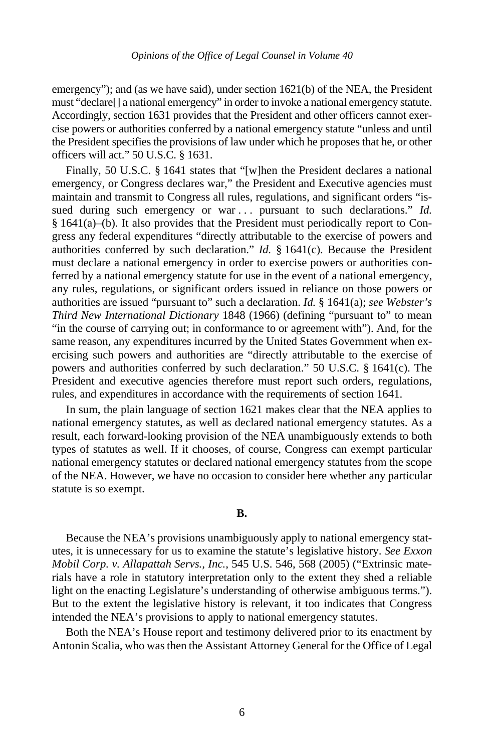emergency"); and (as we have said), under section 1621(b) of the NEA, the President must "declare[] a national emergency" in order to invoke a national emergency statute. Accordingly, section 1631 provides that the President and other officers cannot exercise powers or authorities conferred by a national emergency statute "unless and until the President specifies the provisions of law under which he proposes that he, or other officers will act." 50 U.S.C. § 1631.

Finally, 50 U.S.C. § 1641 states that "[w]hen the President declares a national emergency, or Congress declares war," the President and Executive agencies must maintain and transmit to Congress all rules, regulations, and significant orders "issued during such emergency or war ... pursuant to such declarations." *Id.* § 1641(a)–(b). It also provides that the President must periodically report to Congress any federal expenditures "directly attributable to the exercise of powers and authorities conferred by such declaration." *Id.* § 1641(c). Because the President must declare a national emergency in order to exercise powers or authorities conferred by a national emergency statute for use in the event of a national emergency, any rules, regulations, or significant orders issued in reliance on those powers or authorities are issued "pursuant to" such a declaration. *Id.* § 1641(a); *see Webster's Third New International Dictionary* 1848 (1966) (defining "pursuant to" to mean "in the course of carrying out; in conformance to or agreement with"). And, for the same reason, any expenditures incurred by the United States Government when exercising such powers and authorities are "directly attributable to the exercise of powers and authorities conferred by such declaration." 50 U.S.C. § 1641(c). The President and executive agencies therefore must report such orders, regulations, rules, and expenditures in accordance with the requirements of section 1641.

In sum, the plain language of section 1621 makes clear that the NEA applies to national emergency statutes, as well as declared national emergency statutes. As a result, each forward-looking provision of the NEA unambiguously extends to both types of statutes as well. If it chooses, of course, Congress can exempt particular national emergency statutes or declared national emergency statutes from the scope of the NEA. However, we have no occasion to consider here whether any particular statute is so exempt.

# **B.**

Because the NEA's provisions unambiguously apply to national emergency statutes, it is unnecessary for us to examine the statute's legislative history. *See Exxon Mobil Corp. v. Allapattah Servs., Inc.*, 545 U.S. 546, 568 (2005) ("Extrinsic materials have a role in statutory interpretation only to the extent they shed a reliable light on the enacting Legislature's understanding of otherwise ambiguous terms."). But to the extent the legislative history is relevant, it too indicates that Congress intended the NEA's provisions to apply to national emergency statutes.

Both the NEA's House report and testimony delivered prior to its enactment by Antonin Scalia, who was then the Assistant Attorney General for the Office of Legal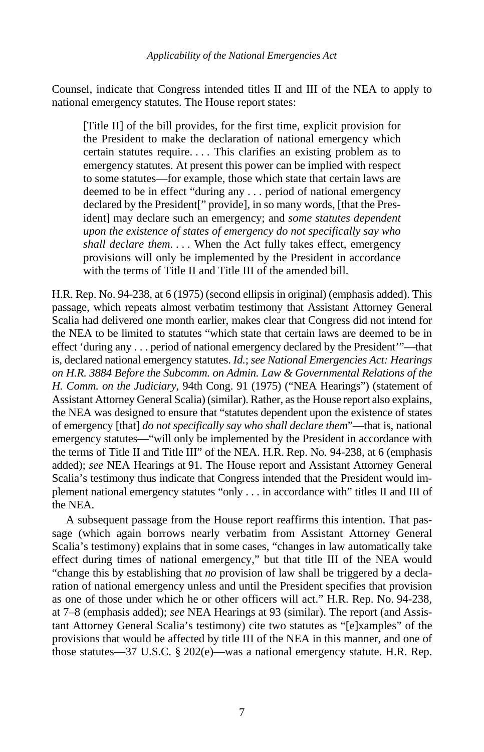Counsel, indicate that Congress intended titles II and III of the NEA to apply to national emergency statutes. The House report states:

[Title II] of the bill provides, for the first time, explicit provision for the President to make the declaration of national emergency which certain statutes require. . . . This clarifies an existing problem as to emergency statutes. At present this power can be implied with respect to some statutes—for example, those which state that certain laws are deemed to be in effect "during any . . . period of national emergency declared by the President[" provide], in so many words, [that the President] may declare such an emergency; and *some statutes dependent upon the existence of states of emergency do not specifically say who shall declare them*. . . . When the Act fully takes effect, emergency provisions will only be implemented by the President in accordance with the terms of Title II and Title III of the amended bill.

H.R. Rep. No. 94-238, at 6 (1975) (second ellipsis in original) (emphasis added). This passage, which repeats almost verbatim testimony that Assistant Attorney General Scalia had delivered one month earlier, makes clear that Congress did not intend for the NEA to be limited to statutes "which state that certain laws are deemed to be in effect 'during any . . . period of national emergency declared by the President'"—that is, declared national emergency statutes. *Id.*; *see National Emergencies Act: Hearings on H.R. 3884 Before the Subcomm. on Admin. Law & Governmental Relations of the H. Comm. on the Judiciary*, 94th Cong. 91 (1975) ("NEA Hearings") (statement of Assistant Attorney General Scalia) (similar). Rather, as the House report also explains, the NEA was designed to ensure that "statutes dependent upon the existence of states of emergency [that] *do not specifically say who shall declare them*"—that is, national emergency statutes—"will only be implemented by the President in accordance with the terms of Title II and Title III" of the NEA. H.R. Rep. No. 94-238, at 6 (emphasis added); *see* NEA Hearings at 91. The House report and Assistant Attorney General Scalia's testimony thus indicate that Congress intended that the President would implement national emergency statutes "only . . . in accordance with" titles II and III of the NEA.

A subsequent passage from the House report reaffirms this intention. That passage (which again borrows nearly verbatim from Assistant Attorney General Scalia's testimony) explains that in some cases, "changes in law automatically take effect during times of national emergency," but that title III of the NEA would "change this by establishing that *no* provision of law shall be triggered by a declaration of national emergency unless and until the President specifies that provision as one of those under which he or other officers will act." H.R. Rep. No. 94-238, at 7–8 (emphasis added); *see* NEA Hearings at 93 (similar). The report (and Assistant Attorney General Scalia's testimony) cite two statutes as "[e]xamples" of the provisions that would be affected by title III of the NEA in this manner, and one of those statutes—37 U.S.C. § 202(e)—was a national emergency statute. H.R. Rep.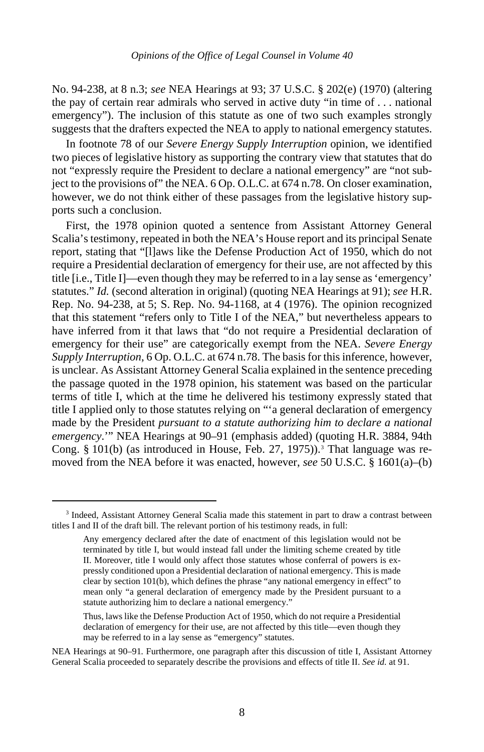No. 94-238, at 8 n.3; *see* NEA Hearings at 93; 37 U.S.C. § 202(e) (1970) (altering the pay of certain rear admirals who served in active duty "in time of . . . national emergency"). The inclusion of this statute as one of two such examples strongly suggests that the drafters expected the NEA to apply to national emergency statutes.

In footnote 78 of our *Severe Energy Supply Interruption* opinion, we identified two pieces of legislative history as supporting the contrary view that statutes that do not "expressly require the President to declare a national emergency" are "not subject to the provisions of" the NEA. 6 Op. O.L.C. at 674 n.78. On closer examination, however, we do not think either of these passages from the legislative history supports such a conclusion.

First, the 1978 opinion quoted a sentence from Assistant Attorney General Scalia's testimony, repeated in both the NEA's House report and its principal Senate report, stating that "[l]aws like the Defense Production Act of 1950, which do not require a Presidential declaration of emergency for their use, are not affected by this title [i.e., Title I]—even though they may be referred to in a lay sense as 'emergency' statutes." *Id.* (second alteration in original) (quoting NEA Hearings at 91); *see* H.R. Rep. No. 94-238, at 5; S. Rep. No. 94-1168, at 4 (1976). The opinion recognized that this statement "refers only to Title I of the NEA," but nevertheless appears to have inferred from it that laws that "do not require a Presidential declaration of emergency for their use" are categorically exempt from the NEA. *Severe Energy Supply Interruption*, 6 Op. O.L.C. at 674 n.78. The basis for this inference, however, is unclear. As Assistant Attorney General Scalia explained in the sentence preceding the passage quoted in the 1978 opinion, his statement was based on the particular terms of title I, which at the time he delivered his testimony expressly stated that title I applied only to those statutes relying on "'a general declaration of emergency made by the President *pursuant to a statute authorizing him to declare a national emergency*.'" NEA Hearings at 90–91 (emphasis added) (quoting H.R. 3884, 94th Cong. § 101(b) (as introduced in House, Feb. 27, 1975)).<sup>[3](#page-7-0)</sup> That language was removed from the NEA before it was enacted, however, *see* 50 U.S.C. § 1601(a)–(b)

<span id="page-7-0"></span><sup>&</sup>lt;sup>3</sup> Indeed, Assistant Attorney General Scalia made this statement in part to draw a contrast between titles I and II of the draft bill. The relevant portion of his testimony reads, in full:

Any emergency declared after the date of enactment of this legislation would not be terminated by title I, but would instead fall under the limiting scheme created by title II. Moreover, title I would only affect those statutes whose conferral of powers is expressly conditioned upon a Presidential declaration of national emergency. This is made clear by section 101(b), which defines the phrase "any national emergency in effect" to mean only "a general declaration of emergency made by the President pursuant to a statute authorizing him to declare a national emergency."

Thus, laws like the Defense Production Act of 1950, which do not require a Presidential declaration of emergency for their use, are not affected by this title—even though they may be referred to in a lay sense as "emergency" statutes.

NEA Hearings at 90–91*.* Furthermore, one paragraph after this discussion of title I, Assistant Attorney General Scalia proceeded to separately describe the provisions and effects of title II. *See id.* at 91.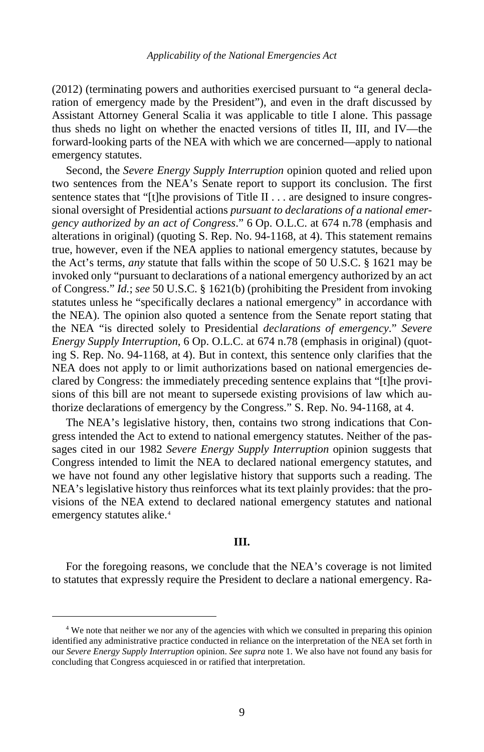(2012) (terminating powers and authorities exercised pursuant to "a general declaration of emergency made by the President"), and even in the draft discussed by Assistant Attorney General Scalia it was applicable to title I alone. This passage thus sheds no light on whether the enacted versions of titles II, III, and IV—the forward-looking parts of the NEA with which we are concerned—apply to national emergency statutes.

Second, the *Severe Energy Supply Interruption* opinion quoted and relied upon two sentences from the NEA's Senate report to support its conclusion. The first sentence states that "[t]he provisions of Title II . . . are designed to insure congressional oversight of Presidential actions *pursuant to declarations of a national emergency authorized by an act of Congress*." 6 Op. O.L.C. at 674 n.78 (emphasis and alterations in original) (quoting S. Rep. No. 94-1168, at 4). This statement remains true, however, even if the NEA applies to national emergency statutes, because by the Act's terms, *any* statute that falls within the scope of 50 U.S.C. § 1621 may be invoked only "pursuant to declarations of a national emergency authorized by an act of Congress." *Id.*; *see* 50 U.S.C. § 1621(b) (prohibiting the President from invoking statutes unless he "specifically declares a national emergency" in accordance with the NEA). The opinion also quoted a sentence from the Senate report stating that the NEA "is directed solely to Presidential *declarations of emergency*." *Severe Energy Supply Interruption*, 6 Op. O.L.C. at 674 n.78 (emphasis in original) (quoting S. Rep. No. 94-1168, at 4). But in context, this sentence only clarifies that the NEA does not apply to or limit authorizations based on national emergencies declared by Congress: the immediately preceding sentence explains that "[t]he provisions of this bill are not meant to supersede existing provisions of law which authorize declarations of emergency by the Congress." S. Rep. No. 94-1168, at 4.

The NEA's legislative history, then, contains two strong indications that Congress intended the Act to extend to national emergency statutes. Neither of the passages cited in our 1982 *Severe Energy Supply Interruption* opinion suggests that Congress intended to limit the NEA to declared national emergency statutes, and we have not found any other legislative history that supports such a reading. The NEA's legislative history thus reinforces what its text plainly provides: that the provisions of the NEA extend to declared national emergency statutes and national emergency statutes alike.<sup>[4](#page-8-0)</sup>

### **III.**

For the foregoing reasons, we conclude that the NEA's coverage is not limited to statutes that expressly require the President to declare a national emergency. Ra-

<span id="page-8-0"></span><sup>&</sup>lt;sup>4</sup> We note that neither we nor any of the agencies with which we consulted in preparing this opinion identified any administrative practice conducted in reliance on the interpretation of the NEA set forth in our *Severe Energy Supply Interruption* opinion. *See supra* note [1.](#page-0-1) We also have not found any basis for concluding that Congress acquiesced in or ratified that interpretation.